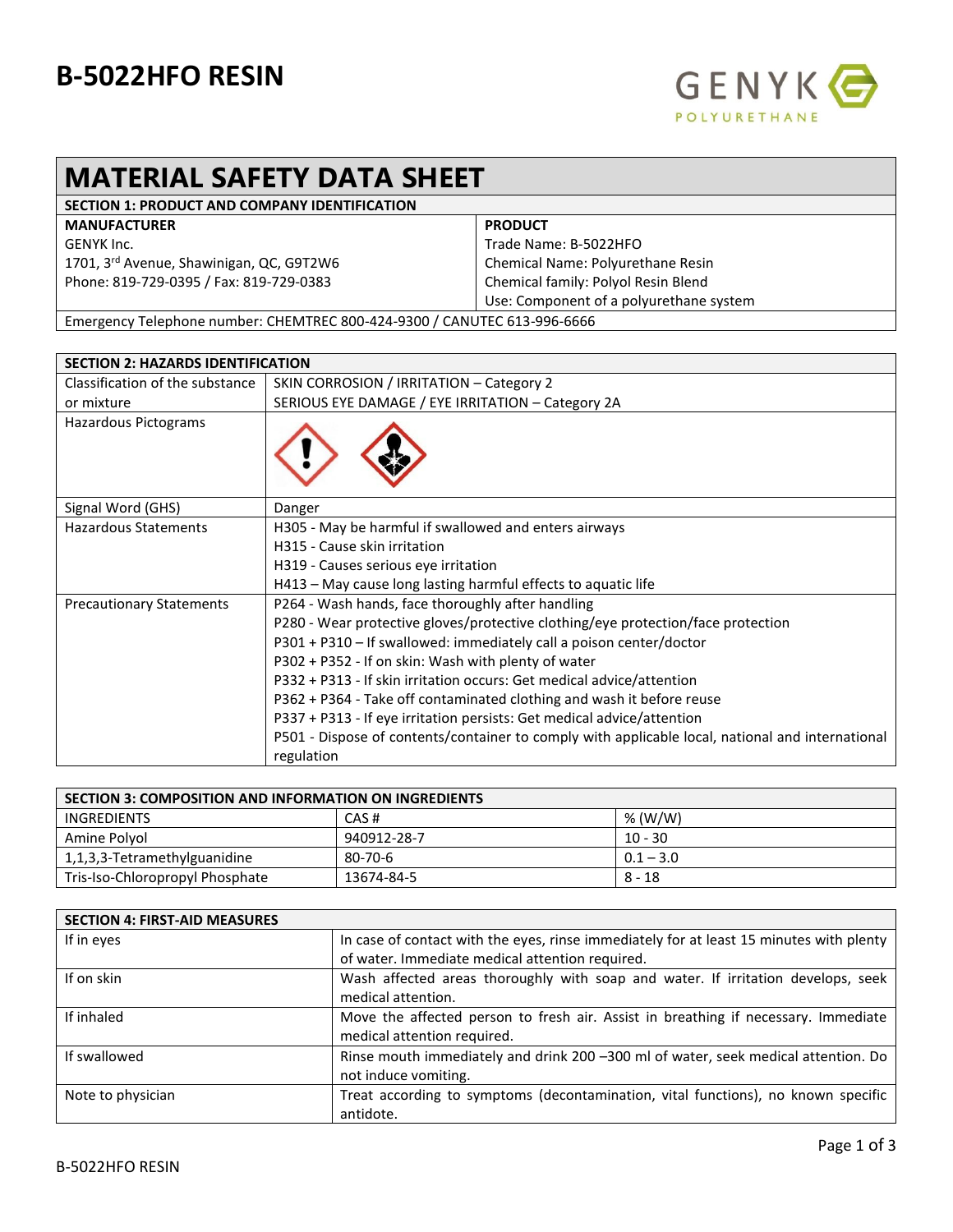## **B-5022HFO RESIN**



## **MATERIAL SAFETY DATA SHEET**

| <b>SECTION 1: PRODUCT AND COMPANY IDENTIFICATION</b>                         |                                         |
|------------------------------------------------------------------------------|-----------------------------------------|
| <b>MANUFACTURER</b>                                                          | <b>PRODUCT</b>                          |
| GENYK Inc.                                                                   | Trade Name: B-5022HFO                   |
| 1701, 3 <sup>rd</sup> Avenue, Shawinigan, QC, G9T2W6                         | Chemical Name: Polyurethane Resin       |
| Phone: 819-729-0395 / Fax: 819-729-0383                                      | Chemical family: Polyol Resin Blend     |
|                                                                              | Use: Component of a polyurethane system |
| Furnacional Talanteria construir CUENTREC 000 131 0300 LCANUTEC C13 00C CCCC |                                         |

Emergency Telephone number: CHEMTREC 800-424-9300 / CANUTEC 613-996-6666

| <b>SECTION 2: HAZARDS IDENTIFICATION</b> |                                                                                                  |
|------------------------------------------|--------------------------------------------------------------------------------------------------|
| Classification of the substance          | SKIN CORROSION / IRRITATION - Category 2                                                         |
| or mixture                               | SERIOUS EYE DAMAGE / EYE IRRITATION - Category 2A                                                |
| Hazardous Pictograms                     |                                                                                                  |
| Signal Word (GHS)                        | Danger                                                                                           |
| <b>Hazardous Statements</b>              | H305 - May be harmful if swallowed and enters airways                                            |
|                                          | H315 - Cause skin irritation                                                                     |
|                                          | H319 - Causes serious eye irritation                                                             |
|                                          | H413 - May cause long lasting harmful effects to aquatic life                                    |
| <b>Precautionary Statements</b>          | P264 - Wash hands, face thoroughly after handling                                                |
|                                          | P280 - Wear protective gloves/protective clothing/eye protection/face protection                 |
|                                          | P301 + P310 - If swallowed: immediately call a poison center/doctor                              |
|                                          | P302 + P352 - If on skin: Wash with plenty of water                                              |
|                                          | P332 + P313 - If skin irritation occurs: Get medical advice/attention                            |
|                                          | P362 + P364 - Take off contaminated clothing and wash it before reuse                            |
|                                          | P337 + P313 - If eye irritation persists: Get medical advice/attention                           |
|                                          | P501 - Dispose of contents/container to comply with applicable local, national and international |
|                                          | regulation                                                                                       |

| <b>SECTION 3: COMPOSITION AND INFORMATION ON INGREDIENTS</b> |             |             |
|--------------------------------------------------------------|-------------|-------------|
| INGREDIENTS                                                  | CAS#        | % (W/W)     |
| Amine Polvol                                                 | 940912-28-7 | $10 - 30$   |
| 1,1,3,3-Tetramethylguanidine                                 | 80-70-6     | $0.1 - 3.0$ |
| Tris-Iso-Chloropropyl Phosphate                              | 13674-84-5  | $8 - 18$    |

| <b>SECTION 4: FIRST-AID MEASURES</b> |                                                                                                                                            |
|--------------------------------------|--------------------------------------------------------------------------------------------------------------------------------------------|
| If in eyes                           | In case of contact with the eyes, rinse immediately for at least 15 minutes with plenty<br>of water. Immediate medical attention required. |
|                                      |                                                                                                                                            |
| If on skin                           | Wash affected areas thoroughly with soap and water. If irritation develops, seek                                                           |
|                                      | medical attention.                                                                                                                         |
| If inhaled                           | Move the affected person to fresh air. Assist in breathing if necessary. Immediate<br>medical attention required.                          |
| If swallowed                         | Rinse mouth immediately and drink 200 -300 ml of water, seek medical attention. Do                                                         |
|                                      | not induce vomiting.                                                                                                                       |
| Note to physician                    | Treat according to symptoms (decontamination, vital functions), no known specific                                                          |
|                                      | antidote.                                                                                                                                  |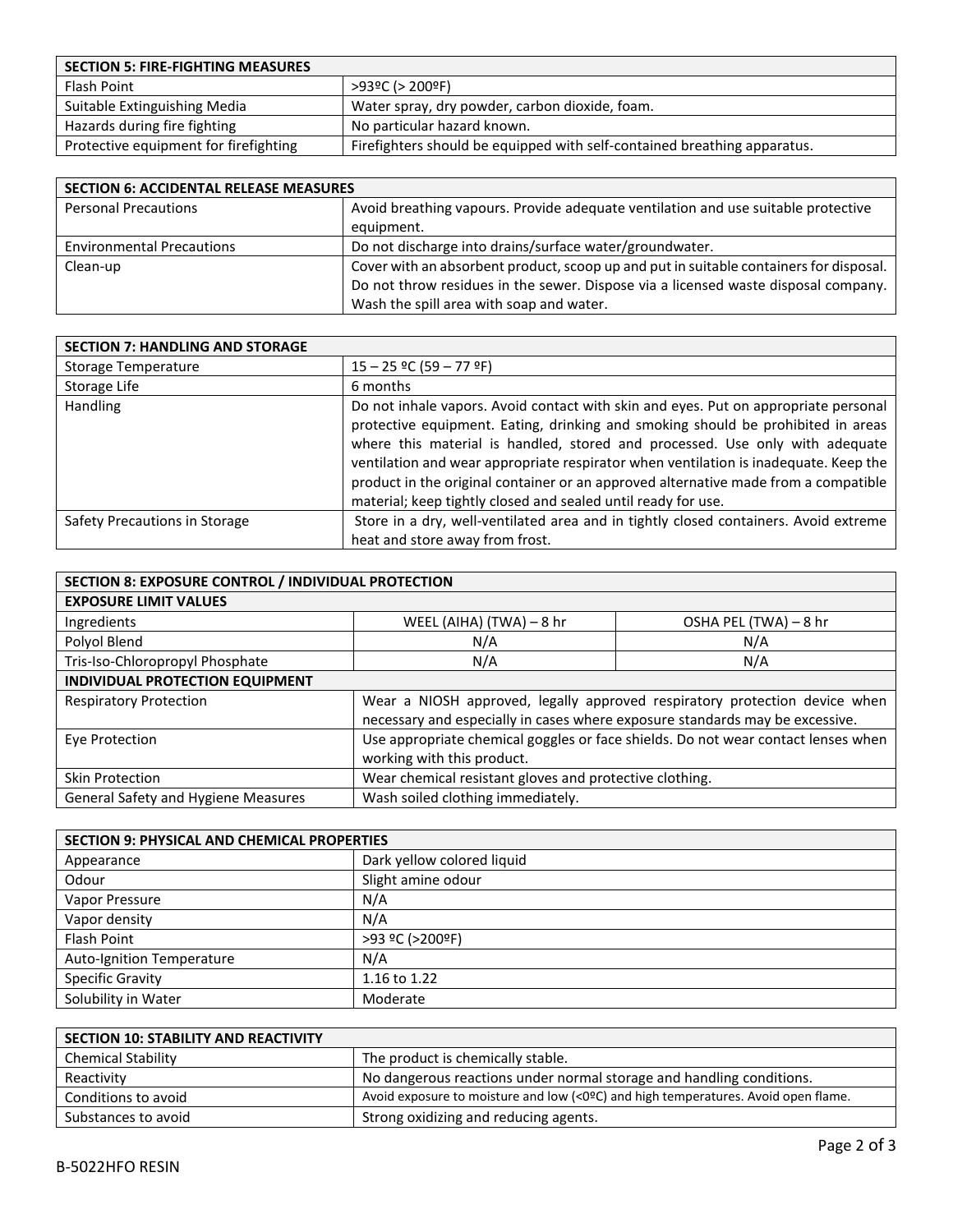| <b>SECTION 5: FIRE-FIGHTING MEASURES</b> |                                                                          |
|------------------------------------------|--------------------------------------------------------------------------|
| Flash Point                              | $>93°C$ ( $>200°F$ )                                                     |
| Suitable Extinguishing Media             | Water spray, dry powder, carbon dioxide, foam.                           |
| Hazards during fire fighting             | No particular hazard known.                                              |
| Protective equipment for firefighting    | Firefighters should be equipped with self-contained breathing apparatus. |

| <b>SECTION 6: ACCIDENTAL RELEASE MEASURES</b> |                                                                                        |  |
|-----------------------------------------------|----------------------------------------------------------------------------------------|--|
| <b>Personal Precautions</b>                   | Avoid breathing vapours. Provide adequate ventilation and use suitable protective      |  |
|                                               | equipment.                                                                             |  |
| <b>Environmental Precautions</b>              | Do not discharge into drains/surface water/groundwater.                                |  |
| Clean-up                                      | Cover with an absorbent product, scoop up and put in suitable containers for disposal. |  |
|                                               | Do not throw residues in the sewer. Dispose via a licensed waste disposal company.     |  |
|                                               | Wash the spill area with soap and water.                                               |  |

| <b>SECTION 7: HANDLING AND STORAGE</b> |                                                                                                                                                                                                                                                                                                                                                                                                                                                                                                         |
|----------------------------------------|---------------------------------------------------------------------------------------------------------------------------------------------------------------------------------------------------------------------------------------------------------------------------------------------------------------------------------------------------------------------------------------------------------------------------------------------------------------------------------------------------------|
| <b>Storage Temperature</b>             | $15 - 25$ °C (59 – 77 °F)                                                                                                                                                                                                                                                                                                                                                                                                                                                                               |
| Storage Life                           | 6 months                                                                                                                                                                                                                                                                                                                                                                                                                                                                                                |
| <b>Handling</b>                        | Do not inhale vapors. Avoid contact with skin and eyes. Put on appropriate personal<br>protective equipment. Eating, drinking and smoking should be prohibited in areas<br>where this material is handled, stored and processed. Use only with adequate<br>ventilation and wear appropriate respirator when ventilation is inadequate. Keep the<br>product in the original container or an approved alternative made from a compatible<br>material; keep tightly closed and sealed until ready for use. |
| Safety Precautions in Storage          | Store in a dry, well-ventilated area and in tightly closed containers. Avoid extreme                                                                                                                                                                                                                                                                                                                                                                                                                    |
|                                        | heat and store away from frost.                                                                                                                                                                                                                                                                                                                                                                                                                                                                         |

| SECTION 8: EXPOSURE CONTROL / INDIVIDUAL PROTECTION |                                                                              |                                                                                   |
|-----------------------------------------------------|------------------------------------------------------------------------------|-----------------------------------------------------------------------------------|
| <b>EXPOSURE LIMIT VALUES</b>                        |                                                                              |                                                                                   |
| Ingredients                                         | WEEL (AIHA) (TWA) - 8 hr                                                     | OSHA PEL (TWA) - 8 hr                                                             |
| Polyol Blend                                        | N/A                                                                          | N/A                                                                               |
| Tris-Iso-Chloropropyl Phosphate                     | N/A                                                                          | N/A                                                                               |
| INDIVIDUAL PROTECTION EQUIPMENT                     |                                                                              |                                                                                   |
| <b>Respiratory Protection</b>                       | necessary and especially in cases where exposure standards may be excessive. | Wear a NIOSH approved, legally approved respiratory protection device when        |
| Eye Protection                                      | working with this product.                                                   | Use appropriate chemical goggles or face shields. Do not wear contact lenses when |
| Skin Protection                                     | Wear chemical resistant gloves and protective clothing.                      |                                                                                   |
| General Safety and Hygiene Measures                 | Wash soiled clothing immediately.                                            |                                                                                   |

| <b>SECTION 9: PHYSICAL AND CHEMICAL PROPERTIES</b> |                            |
|----------------------------------------------------|----------------------------|
| Appearance                                         | Dark yellow colored liquid |
| Odour                                              | Slight amine odour         |
| Vapor Pressure                                     | N/A                        |
| Vapor density                                      | N/A                        |
| Flash Point                                        | >93 ºC (>200ºF)            |
| <b>Auto-Ignition Temperature</b>                   | N/A                        |
| <b>Specific Gravity</b>                            | 1.16 to 1.22               |
| Solubility in Water                                | Moderate                   |

| <b>SECTION 10: STABILITY AND REACTIVITY</b> |                                                                                    |
|---------------------------------------------|------------------------------------------------------------------------------------|
| <b>Chemical Stability</b>                   | The product is chemically stable.                                                  |
| Reactivity                                  | No dangerous reactions under normal storage and handling conditions.               |
| Conditions to avoid                         | Avoid exposure to moisture and low (<0ºC) and high temperatures. Avoid open flame. |
| Substances to avoid                         | Strong oxidizing and reducing agents.                                              |